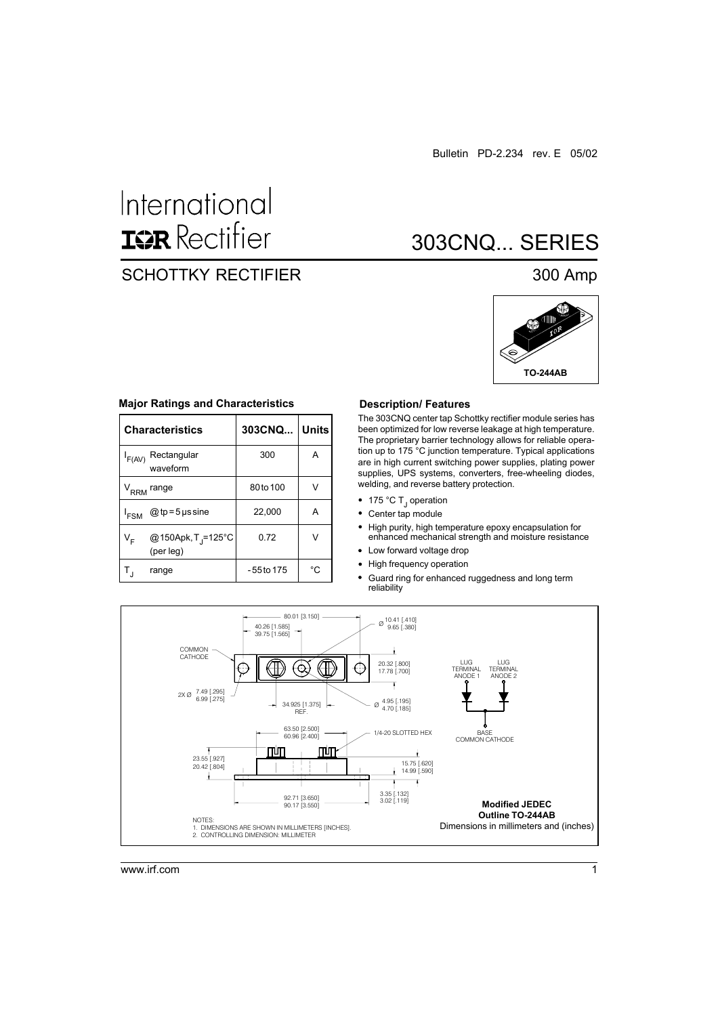# International **ISR** Rectifier

## SCHOTTKY RECTIFIER 300 Amp

# 303CNQ... SERIES



| <b>Characteristics</b>                                        | 303CNQ       | <b>Units</b> |
|---------------------------------------------------------------|--------------|--------------|
| Rectangular<br>$I_{F(AV)}$<br>waveform                        | 300          | A            |
| $V_{RRM}$<br>range                                            | 80 to 100    |              |
| $@tp = 5$ µs sine<br><sup>I</sup> FSM                         | 22,000       | А            |
| @150Apk, T <sub>J</sub> =125°C<br>∨ <sub>⊧</sub><br>(per leg) | 0.72         |              |
| range                                                         | $-55$ to 175 | °C           |

#### **Major Ratings and Characteristics**

#### **Description/ Features**

The 303CNQ center tap Schottky rectifier module series has been optimized for low reverse leakage at high temperature. The proprietary barrier technology allows for reliable operation up to 175 °C junction temperature. Typical applications are in high current switching power supplies, plating power supplies, UPS systems, converters, free-wheeling diodes, welding, and reverse battery protection.

- 175 °C T<sub>J</sub> operation
- Center tap module
- $\bullet$ High purity, high temperature epoxy encapsulation for enhanced mechanical strength and moisture resistance
- Low forward voltage drop
- High frequency operation  $\bullet$
- Guard ring for enhanced ruggedness and long term reliability



www.irf.com 1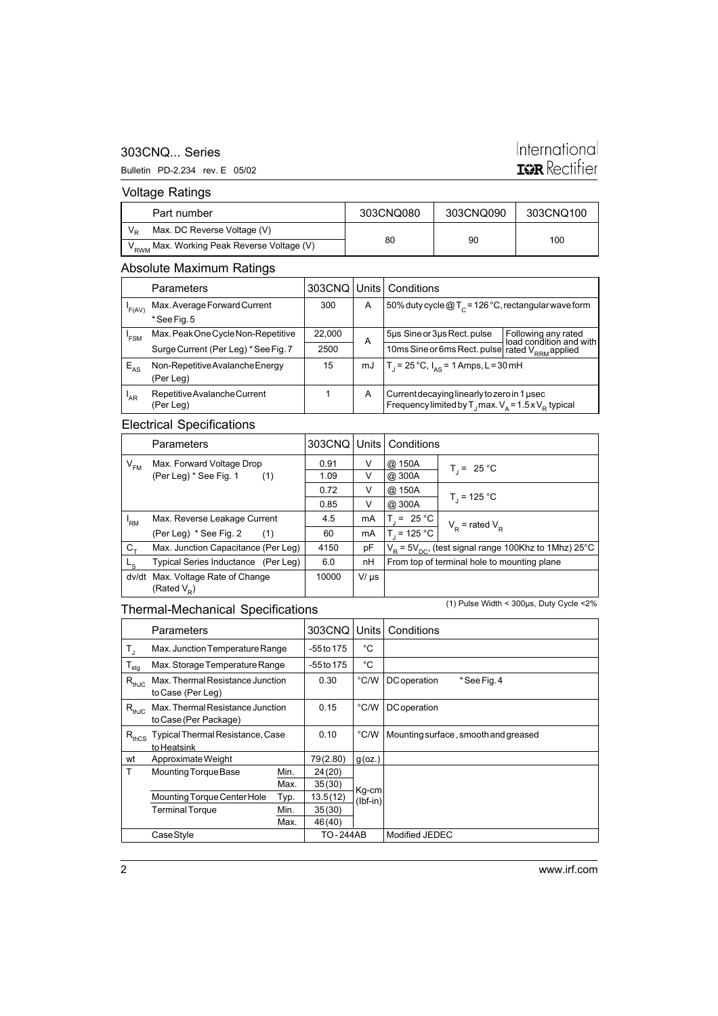#### 303CNQ... Series

#### Bulletin PD-2.234 rev. E 05/02

# International **IGR** Rectifier

Voltage Ratings

| Part number                                            | 303CNQ080 | 303CNQ090 | 303CNQ100 |
|--------------------------------------------------------|-----------|-----------|-----------|
| Max. DC Reverse Voltage (V)                            |           |           |           |
| V <sub>RWM</sub> Max. Working Peak Reverse Voltage (V) | 80        | 90        | 100       |

#### Absolute Maximum Ratings

|                 | <b>Parameters</b>                    |                                                  |    | 303CNQ   Units   Conditions                                             |                                                |
|-----------------|--------------------------------------|--------------------------------------------------|----|-------------------------------------------------------------------------|------------------------------------------------|
| 'F(AV)          | Max. Average Forward Current         | 300                                              | A  | 50% duty cycle $@T_c = 126 °C$ , rectangular wave form                  |                                                |
|                 | *See Fig. 5                          |                                                  |    |                                                                         |                                                |
| 'FSM            | Max. Peak One Cycle Non-Repetitive   | 22,000                                           | A  | 5µs Sine or 3µs Rect. pulse                                             | Following any rated<br>load condition and with |
|                 | Surge Current (Per Leg) * See Fig. 7 | 2500                                             |    | 10ms Sine or 6ms Rect. pulse rated V <sub>RRM</sub> applied             |                                                |
| $E_{AS}$        | Non-Repetitive Avalanche Energy      | 15                                               | mJ | $T_1 = 25^{\circ}C$ , $I_{AS} = 1$ Amps, L = 30 mH                      |                                                |
|                 | (Per Leg)                            |                                                  |    |                                                                         |                                                |
| <sup>'</sup> AR | Repetitive Avalanche Current         | Current decaying linearly to zero in 1 usec<br>A |    |                                                                         |                                                |
|                 | (Per Leg)                            |                                                  |    | Frequency limited by T <sub>1</sub> max. $V_a = 1.5 \times V_B$ typical |                                                |

#### Electrical Specifications

|             | <b>Parameters</b>                             |       |           | 303CNQ   Units   Conditions                                              |                     |
|-------------|-----------------------------------------------|-------|-----------|--------------------------------------------------------------------------|---------------------|
| $V_{FM}$    | Max. Forward Voltage Drop                     | 0.91  | V         | @ 150A                                                                   | $T_i = 25 °C$       |
|             | (Per Leg) * See Fig. 1<br>(1)                 | 1.09  | v         | @ 300A                                                                   |                     |
|             |                                               | 0.72  | V         | @ 150A                                                                   |                     |
|             |                                               | 0.85  | V         | @ 300A                                                                   | $T_1$ = 125 °C      |
| 'RM         | Max. Reverse Leakage Current                  | 4.5   | mA        | $T_i = 25 °C$                                                            | $V_p$ = rated $V_p$ |
|             | (Per Leg) * See Fig. 2<br>(1)                 | 60    | mA        | $T_1 = 125 °C$                                                           |                     |
| $C_{+}$     | Max. Junction Capacitance (Per Leg)           | 4150  | pF        | $V_{\rm p}$ = 5V <sub>pc</sub> , (test signal range 100Khz to 1Mhz) 25°C |                     |
| $L_{\rm S}$ | Typical Series Inductance (Per Leg)           | 6.0   | nH        | From top of terminal hole to mounting plane                              |                     |
| dv/dt       | Max. Voltage Rate of Change<br>(Rated $V_p$ ) | 10000 | $V/\mu s$ |                                                                          |                     |

#### Thermal-Mechanical Specifications

(1) Pulse Width < 300µs, Duty Cycle <2%

|                         | Parameters                                                |      | 303CNQ          | Units               | Conditions                           |
|-------------------------|-----------------------------------------------------------|------|-----------------|---------------------|--------------------------------------|
| $\mathsf{T}_\mathsf{J}$ | Max. Junction Temperature Range                           |      | -55 to 175      | °C                  |                                      |
| $\mathsf{T}_{\sf stg}$  | Max. Storage Temperature Range                            |      | -55 to 175      | $^{\circ}C$         |                                      |
| $R_{thJC}$              | Max. Thermal Resistance Junction<br>to Case (Per Leg)     |      | 0.30            | $\degree$ C/W       | DC operation<br>* See Fig. 4         |
| $R_{thJC}$              | Max. Thermal Resistance Junction<br>to Case (Per Package) |      | 0.15            | $\degree$ C/W       | DC operation                         |
| $R_{thCS}$              | Typical Thermal Resistance, Case<br>to Heatsink           |      | 0.10            | $^{\circ}$ C/W      | Mounting surface, smooth and greased |
| wt                      | Approximate Weight                                        |      | 79(2.80)        | $g$ (oz.)           |                                      |
| T                       | Mounting Torque Base                                      | Min. | 24 (20)         |                     |                                      |
|                         |                                                           | Max. | 35(30)          |                     |                                      |
|                         | Mounting Torque Center Hole                               | Typ. | 13.5(12)        | Kg-cm<br>$(lbf-in)$ |                                      |
|                         | <b>Terminal Torque</b>                                    | Min. | 35(30)          |                     |                                      |
|                         |                                                           | Max. | 46 (40)         |                     |                                      |
|                         | Case Style                                                |      | <b>TO-244AB</b> |                     | Modified JEDEC                       |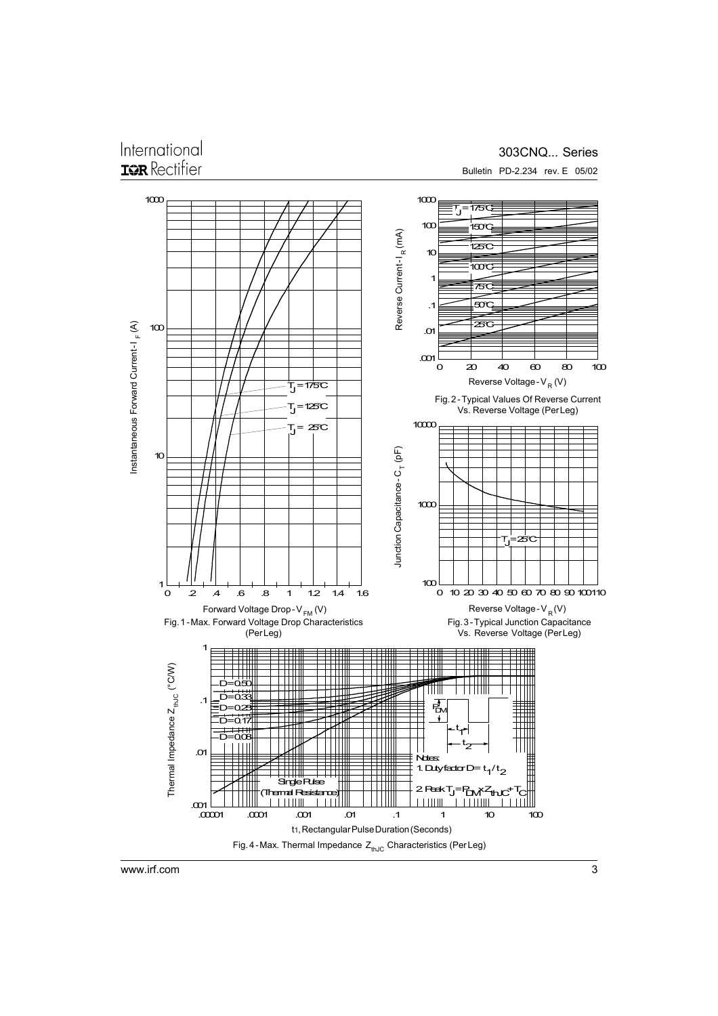## International **IGR** Rectifier

### 303CNQ... Series Bulletin PD-2.234 rev. E 05/02



www.irf.com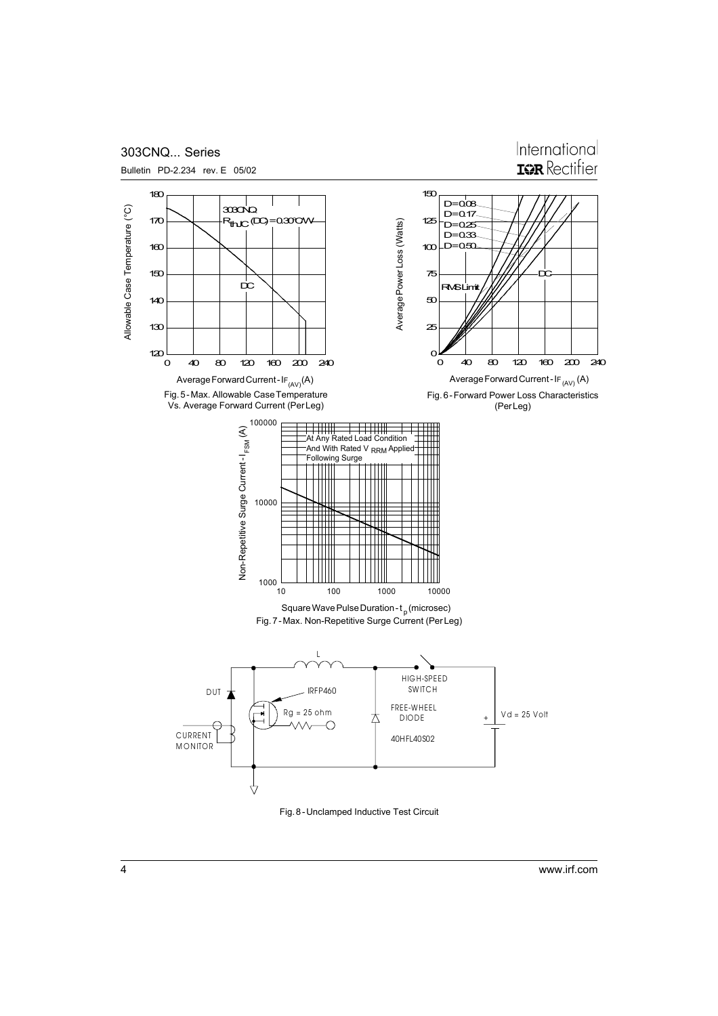